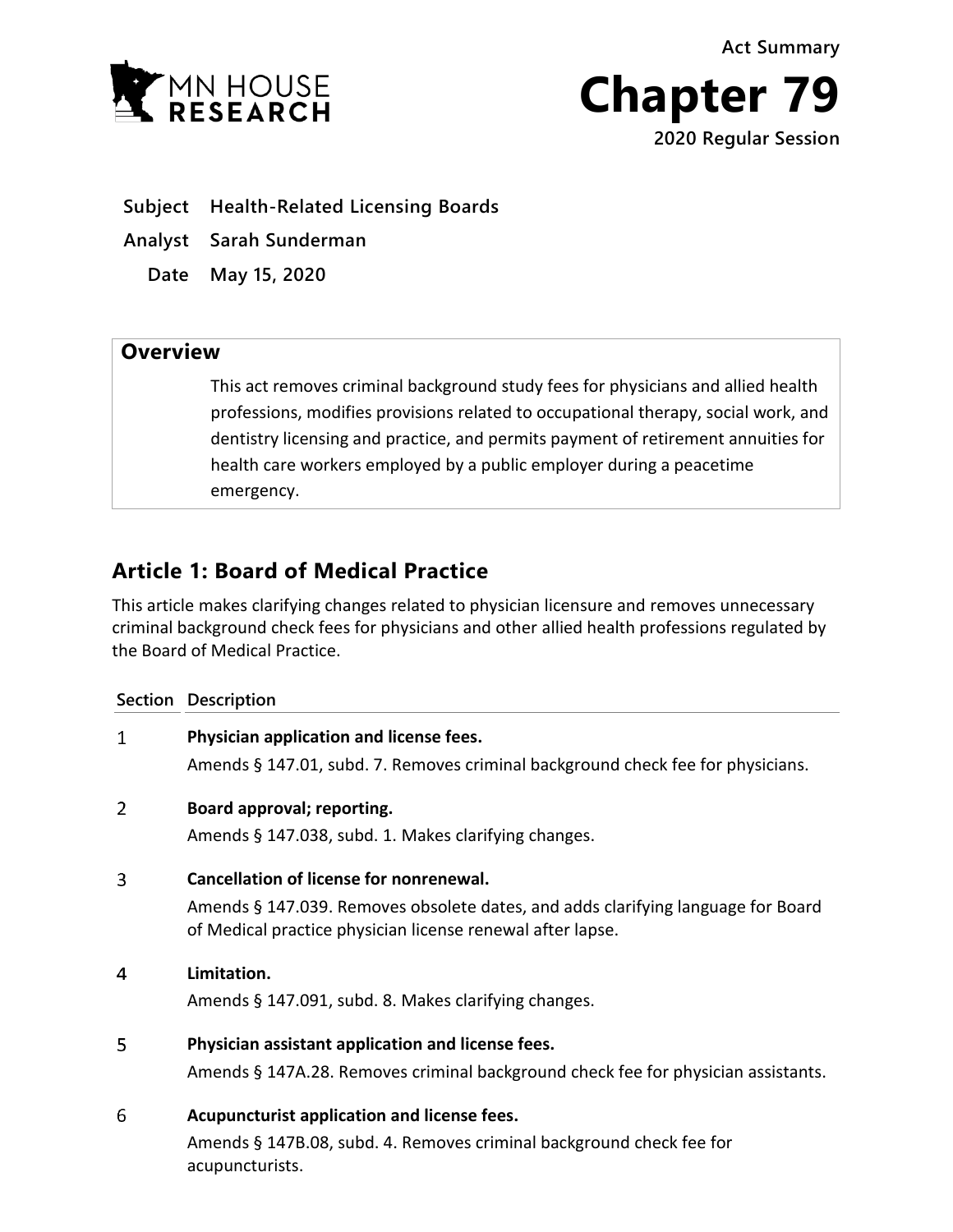**Act Summary**





**Subject Health-Related Licensing Boards**

**Analyst Sarah Sunderman**

**Date May 15, 2020**

## **Overview**

This act removes criminal background study fees for physicians and allied health professions, modifies provisions related to occupational therapy, social work, and dentistry licensing and practice, and permits payment of retirement annuities for health care workers employed by a public employer during a peacetime emergency.

# **Article 1: Board of Medical Practice**

This article makes clarifying changes related to physician licensure and removes unnecessary criminal background check fees for physicians and other allied health professions regulated by the Board of Medical Practice.

|   | Section Description                                                                                                                            |
|---|------------------------------------------------------------------------------------------------------------------------------------------------|
| 1 | Physician application and license fees.                                                                                                        |
|   | Amends § 147.01, subd. 7. Removes criminal background check fee for physicians.                                                                |
| 2 | Board approval; reporting.                                                                                                                     |
|   | Amends § 147.038, subd. 1. Makes clarifying changes.                                                                                           |
| 3 | <b>Cancellation of license for nonrenewal.</b>                                                                                                 |
|   | Amends § 147.039. Removes obsolete dates, and adds clarifying language for Board<br>of Medical practice physician license renewal after lapse. |
| 4 | Limitation.                                                                                                                                    |
|   | Amends § 147.091, subd. 8. Makes clarifying changes.                                                                                           |
| 5 | Physician assistant application and license fees.                                                                                              |
|   | Amends § 147A.28. Removes criminal background check fee for physician assistants.                                                              |
| 6 | Acupuncturist application and license fees.                                                                                                    |
|   | Amends § 147B.08, subd. 4. Removes criminal background check fee for<br>acupuncturists.                                                        |
|   |                                                                                                                                                |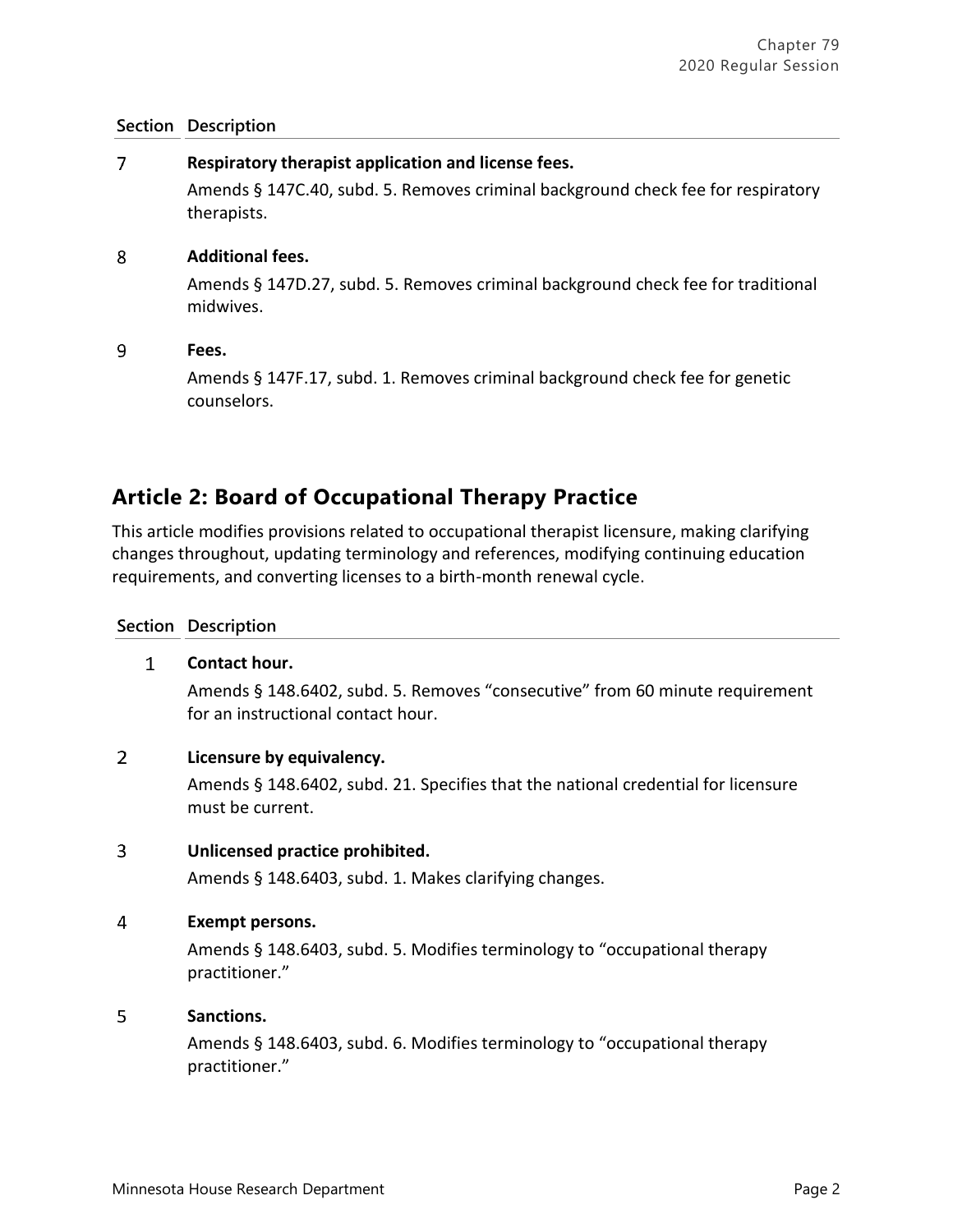#### $\overline{7}$ **Respiratory therapist application and license fees.**

Amends § 147C.40, subd. 5. Removes criminal background check fee for respiratory therapists.

#### 8 **Additional fees.**

Amends § 147D.27, subd. 5. Removes criminal background check fee for traditional midwives.

#### 9 **Fees.**

Amends § 147F.17, subd. 1. Removes criminal background check fee for genetic counselors.

# **Article 2: Board of Occupational Therapy Practice**

This article modifies provisions related to occupational therapist licensure, making clarifying changes throughout, updating terminology and references, modifying continuing education requirements, and converting licenses to a birth-month renewal cycle.

### **Section Description**

#### $\mathbf{1}$ **Contact hour.**

Amends § 148.6402, subd. 5. Removes "consecutive" from 60 minute requirement for an instructional contact hour.

#### $\overline{2}$ **Licensure by equivalency.**

Amends § 148.6402, subd. 21. Specifies that the national credential for licensure must be current.

#### $\overline{3}$ **Unlicensed practice prohibited.**

Amends § 148.6403, subd. 1. Makes clarifying changes.

#### $\overline{4}$ **Exempt persons.**

Amends § 148.6403, subd. 5. Modifies terminology to "occupational therapy practitioner."

#### 5 **Sanctions.**

Amends § 148.6403, subd. 6. Modifies terminology to "occupational therapy practitioner."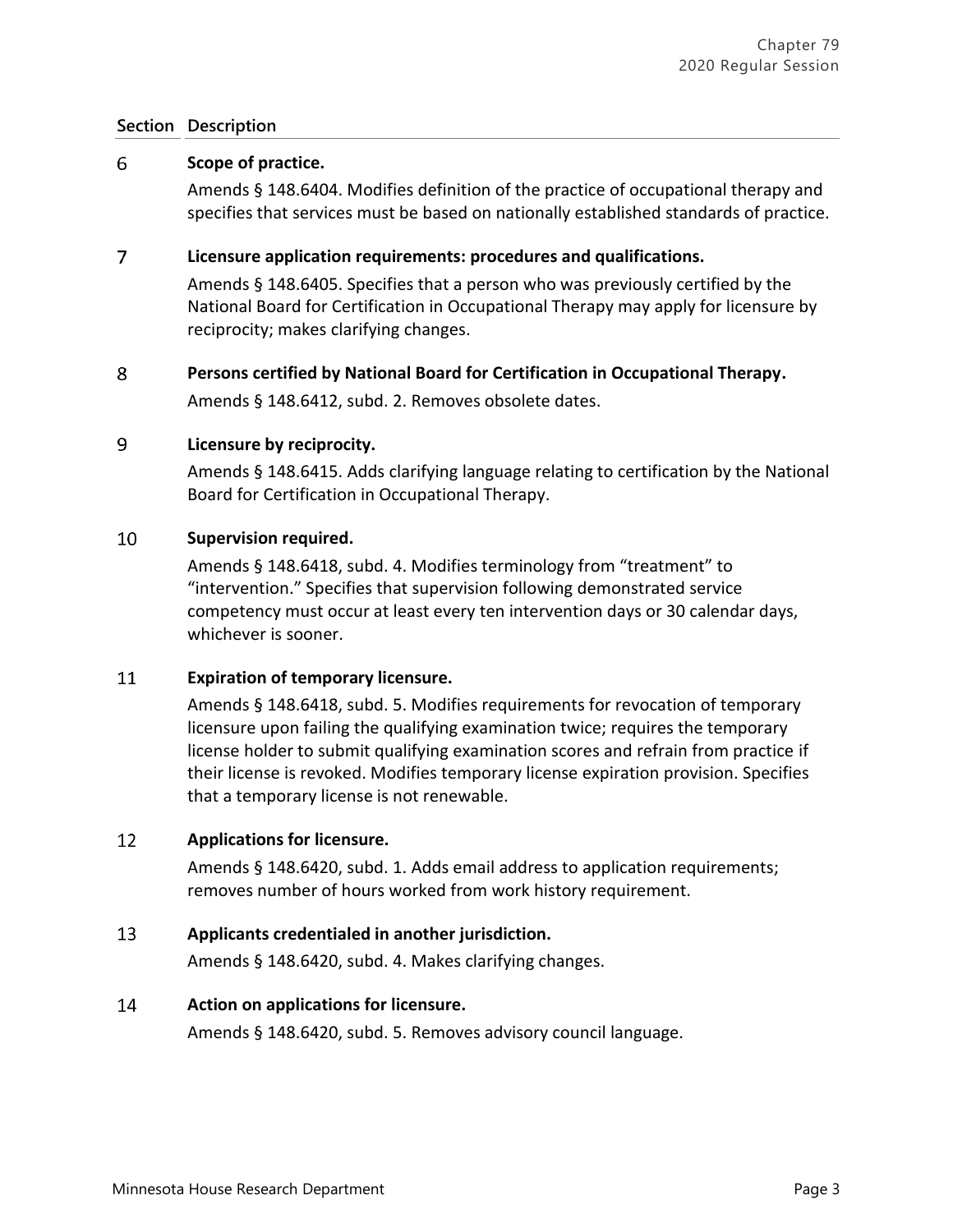#### 6 **Scope of practice.**

Amends § 148.6404. Modifies definition of the practice of occupational therapy and specifies that services must be based on nationally established standards of practice.

#### $\overline{7}$ **Licensure application requirements: procedures and qualifications.**

Amends § 148.6405. Specifies that a person who was previously certified by the National Board for Certification in Occupational Therapy may apply for licensure by reciprocity; makes clarifying changes.

#### 8 **Persons certified by National Board for Certification in Occupational Therapy.**

Amends § 148.6412, subd. 2. Removes obsolete dates.

#### 9 **Licensure by reciprocity.**

Amends § 148.6415. Adds clarifying language relating to certification by the National Board for Certification in Occupational Therapy.

#### 10 **Supervision required.**

Amends § 148.6418, subd. 4. Modifies terminology from "treatment" to "intervention." Specifies that supervision following demonstrated service competency must occur at least every ten intervention days or 30 calendar days, whichever is sooner.

#### 11 **Expiration of temporary licensure.**

Amends § 148.6418, subd. 5. Modifies requirements for revocation of temporary licensure upon failing the qualifying examination twice; requires the temporary license holder to submit qualifying examination scores and refrain from practice if their license is revoked. Modifies temporary license expiration provision. Specifies that a temporary license is not renewable.

#### 12 **Applications for licensure.**

Amends § 148.6420, subd. 1. Adds email address to application requirements; removes number of hours worked from work history requirement.

#### 13 **Applicants credentialed in another jurisdiction.**

Amends § 148.6420, subd. 4. Makes clarifying changes.

#### 14 **Action on applications for licensure.**

Amends § 148.6420, subd. 5. Removes advisory council language.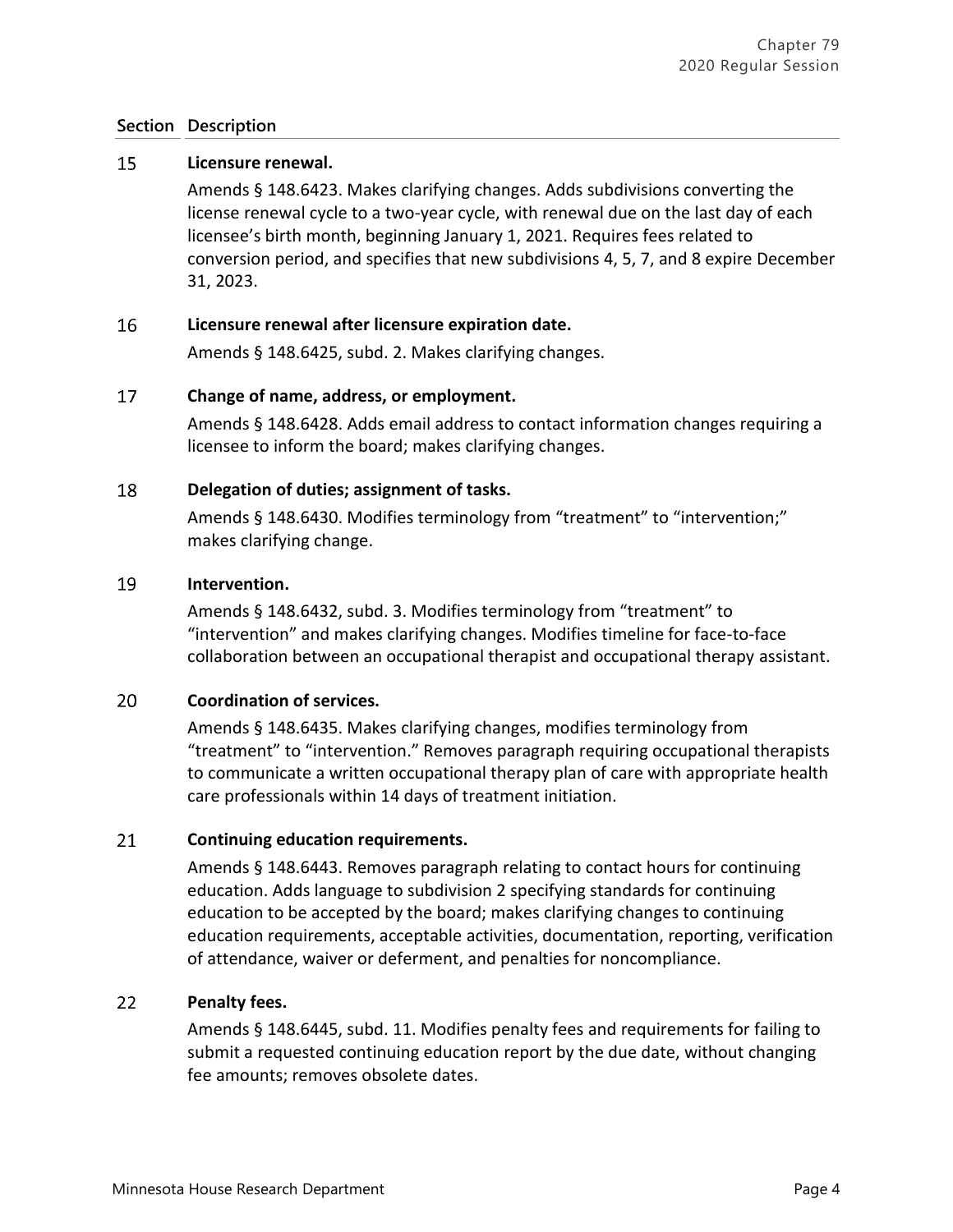#### 15 **Licensure renewal.**

Amends § 148.6423. Makes clarifying changes. Adds subdivisions converting the license renewal cycle to a two-year cycle, with renewal due on the last day of each licensee's birth month, beginning January 1, 2021. Requires fees related to conversion period, and specifies that new subdivisions 4, 5, 7, and 8 expire December 31, 2023.

#### 16 **Licensure renewal after licensure expiration date.**

Amends § 148.6425, subd. 2. Makes clarifying changes.

#### 17 **Change of name, address, or employment.**

Amends § 148.6428. Adds email address to contact information changes requiring a licensee to inform the board; makes clarifying changes.

#### 18 **Delegation of duties; assignment of tasks.**

Amends § 148.6430. Modifies terminology from "treatment" to "intervention;" makes clarifying change.

#### 19 **Intervention.**

Amends § 148.6432, subd. 3. Modifies terminology from "treatment" to "intervention" and makes clarifying changes. Modifies timeline for face-to-face collaboration between an occupational therapist and occupational therapy assistant.

#### 20 **Coordination of services.**

Amends § 148.6435. Makes clarifying changes, modifies terminology from "treatment" to "intervention." Removes paragraph requiring occupational therapists to communicate a written occupational therapy plan of care with appropriate health care professionals within 14 days of treatment initiation.

#### 21 **Continuing education requirements.**

Amends § 148.6443. Removes paragraph relating to contact hours for continuing education. Adds language to subdivision 2 specifying standards for continuing education to be accepted by the board; makes clarifying changes to continuing education requirements, acceptable activities, documentation, reporting, verification of attendance, waiver or deferment, and penalties for noncompliance.

#### 22 **Penalty fees.**

Amends § 148.6445, subd. 11. Modifies penalty fees and requirements for failing to submit a requested continuing education report by the due date, without changing fee amounts; removes obsolete dates.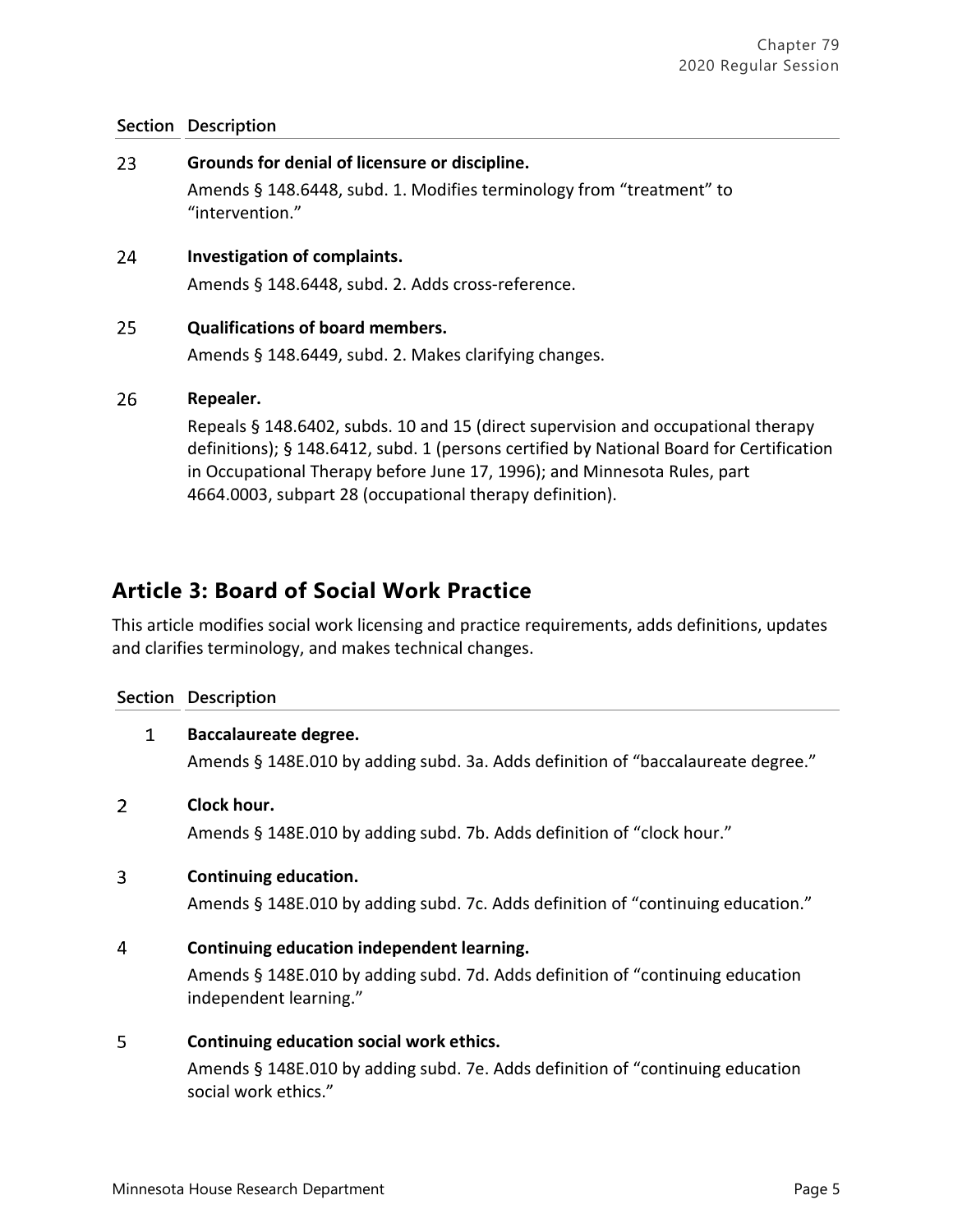23 **Grounds for denial of licensure or discipline.** Amends § 148.6448, subd. 1. Modifies terminology from "treatment" to "intervention." 24 **Investigation of complaints.**  Amends § 148.6448, subd. 2. Adds cross-reference. 25 **Qualifications of board members.** Amends § 148.6449, subd. 2. Makes clarifying changes. 26 **Repealer.** Repeals § 148.6402, subds. 10 and 15 (direct supervision and occupational therapy

definitions); § 148.6412, subd. 1 (persons certified by National Board for Certification in Occupational Therapy before June 17, 1996); and Minnesota Rules, part 4664.0003, subpart 28 (occupational therapy definition).

# **Article 3: Board of Social Work Practice**

This article modifies social work licensing and practice requirements, adds definitions, updates and clarifies terminology, and makes technical changes.

### **Section Description**

|                | 1 | Baccalaureate degree.                                                                                    |
|----------------|---|----------------------------------------------------------------------------------------------------------|
|                |   | Amends § 148E.010 by adding subd. 3a. Adds definition of "baccalaureate degree."                         |
| $\overline{2}$ |   | Clock hour.                                                                                              |
|                |   | Amends § 148E.010 by adding subd. 7b. Adds definition of "clock hour."                                   |
| 3              |   | Continuing education.                                                                                    |
|                |   | Amends § 148E.010 by adding subd. 7c. Adds definition of "continuing education."                         |
| 4              |   | Continuing education independent learning.                                                               |
|                |   | Amends § 148E.010 by adding subd. 7d. Adds definition of "continuing education<br>independent learning." |
| 5              |   | Continuing education social work ethics.                                                                 |
|                |   | Amends § 148E.010 by adding subd. 7e. Adds definition of "continuing education<br>social work ethics."   |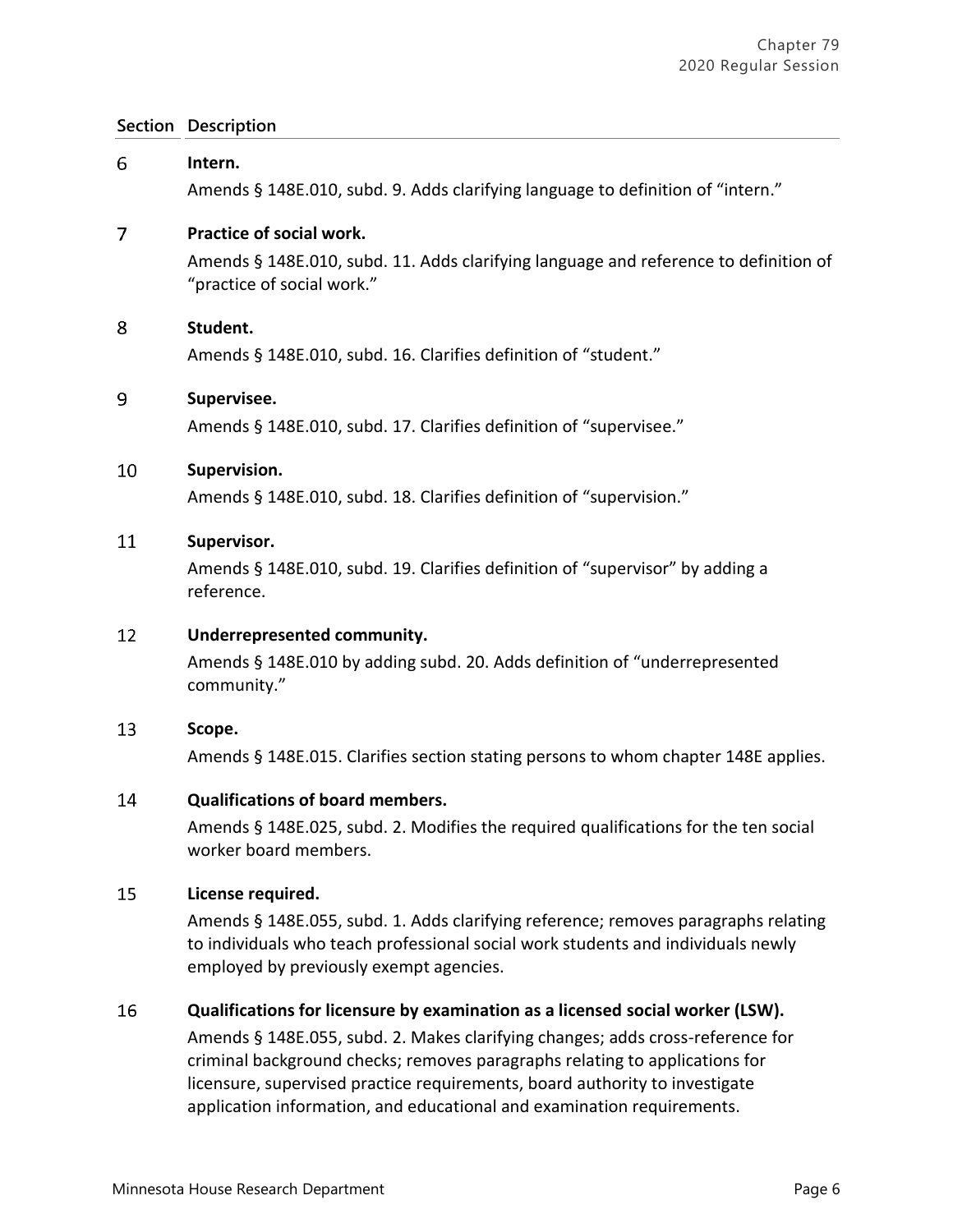| 6  | Intern.                                                                                                                                                                                                                                                                                                                |
|----|------------------------------------------------------------------------------------------------------------------------------------------------------------------------------------------------------------------------------------------------------------------------------------------------------------------------|
|    | Amends § 148E.010, subd. 9. Adds clarifying language to definition of "intern."                                                                                                                                                                                                                                        |
| 7  | Practice of social work.                                                                                                                                                                                                                                                                                               |
|    | Amends § 148E.010, subd. 11. Adds clarifying language and reference to definition of<br>"practice of social work."                                                                                                                                                                                                     |
| 8  | Student.                                                                                                                                                                                                                                                                                                               |
|    | Amends § 148E.010, subd. 16. Clarifies definition of "student."                                                                                                                                                                                                                                                        |
| 9  | Supervisee.                                                                                                                                                                                                                                                                                                            |
|    | Amends § 148E.010, subd. 17. Clarifies definition of "supervisee."                                                                                                                                                                                                                                                     |
| 10 | Supervision.                                                                                                                                                                                                                                                                                                           |
|    | Amends § 148E.010, subd. 18. Clarifies definition of "supervision."                                                                                                                                                                                                                                                    |
| 11 | Supervisor.                                                                                                                                                                                                                                                                                                            |
|    | Amends § 148E.010, subd. 19. Clarifies definition of "supervisor" by adding a<br>reference.                                                                                                                                                                                                                            |
| 12 | Underrepresented community.                                                                                                                                                                                                                                                                                            |
|    | Amends § 148E.010 by adding subd. 20. Adds definition of "underrepresented<br>community."                                                                                                                                                                                                                              |
| 13 | Scope.                                                                                                                                                                                                                                                                                                                 |
|    | Amends § 148E.015. Clarifies section stating persons to whom chapter 148E applies.                                                                                                                                                                                                                                     |
| 14 | <b>Qualifications of board members.</b>                                                                                                                                                                                                                                                                                |
|    | Amends § 148E.025, subd. 2. Modifies the required qualifications for the ten social<br>worker board members.                                                                                                                                                                                                           |
| 15 | License required.                                                                                                                                                                                                                                                                                                      |
|    | Amends § 148E.055, subd. 1. Adds clarifying reference; removes paragraphs relating<br>to individuals who teach professional social work students and individuals newly<br>employed by previously exempt agencies.                                                                                                      |
| 16 | Qualifications for licensure by examination as a licensed social worker (LSW).                                                                                                                                                                                                                                         |
|    | Amends § 148E.055, subd. 2. Makes clarifying changes; adds cross-reference for<br>criminal background checks; removes paragraphs relating to applications for<br>licensure, supervised practice requirements, board authority to investigate<br>application information, and educational and examination requirements. |
|    |                                                                                                                                                                                                                                                                                                                        |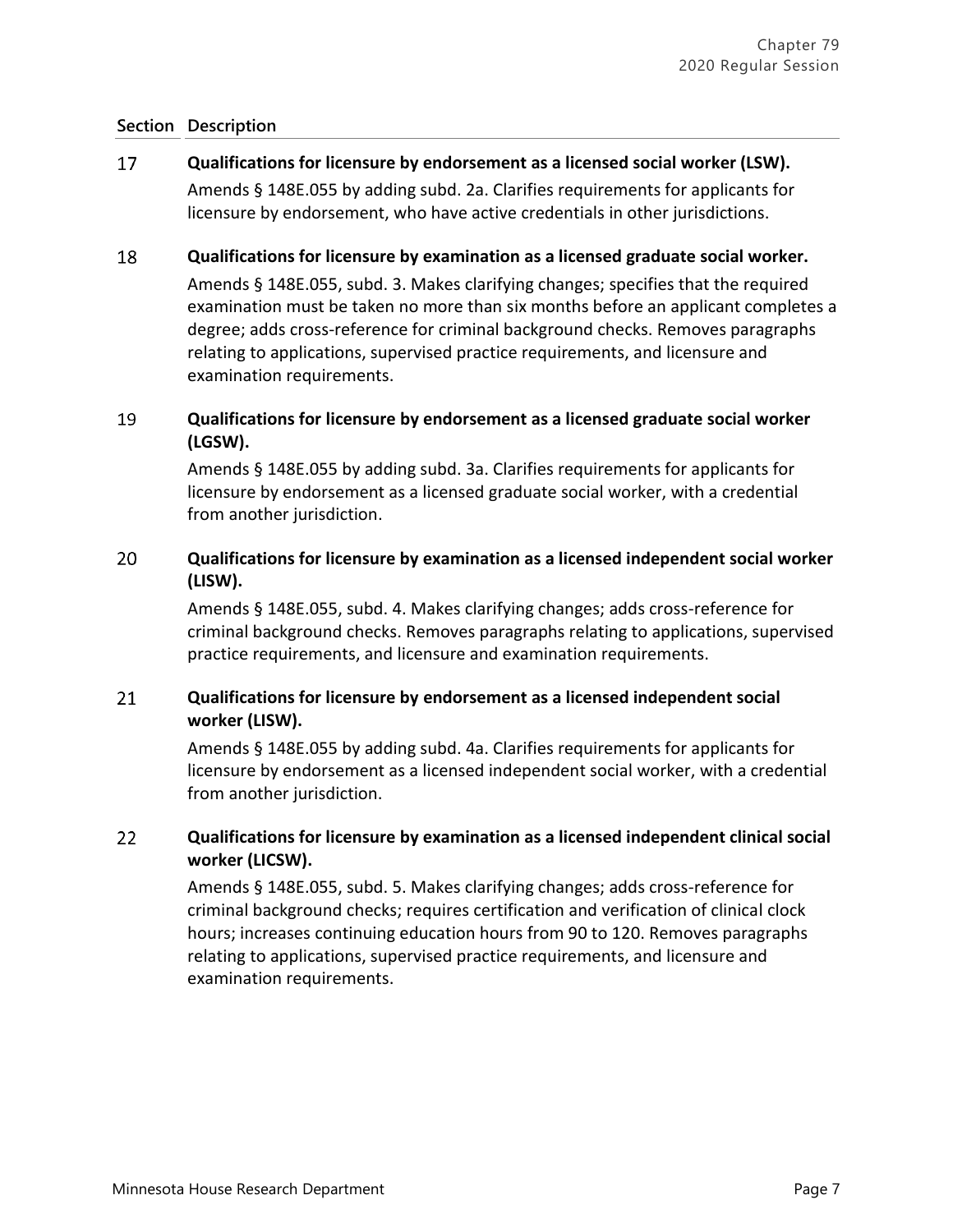#### 17 **Qualifications for licensure by endorsement as a licensed social worker (LSW).**

Amends § 148E.055 by adding subd. 2a. Clarifies requirements for applicants for licensure by endorsement, who have active credentials in other jurisdictions.

#### 18 **Qualifications for licensure by examination as a licensed graduate social worker.**

Amends § 148E.055, subd. 3. Makes clarifying changes; specifies that the required examination must be taken no more than six months before an applicant completes a degree; adds cross-reference for criminal background checks. Removes paragraphs relating to applications, supervised practice requirements, and licensure and examination requirements.

### 19 **Qualifications for licensure by endorsement as a licensed graduate social worker (LGSW).**

Amends § 148E.055 by adding subd. 3a. Clarifies requirements for applicants for licensure by endorsement as a licensed graduate social worker, with a credential from another jurisdiction.

### 20 **Qualifications for licensure by examination as a licensed independent social worker (LISW).**

Amends § 148E.055, subd. 4. Makes clarifying changes; adds cross-reference for criminal background checks. Removes paragraphs relating to applications, supervised practice requirements, and licensure and examination requirements.

### 21 **Qualifications for licensure by endorsement as a licensed independent social worker (LISW).**

Amends § 148E.055 by adding subd. 4a. Clarifies requirements for applicants for licensure by endorsement as a licensed independent social worker, with a credential from another jurisdiction.

### 22 **Qualifications for licensure by examination as a licensed independent clinical social worker (LICSW).**

Amends § 148E.055, subd. 5. Makes clarifying changes; adds cross-reference for criminal background checks; requires certification and verification of clinical clock hours; increases continuing education hours from 90 to 120. Removes paragraphs relating to applications, supervised practice requirements, and licensure and examination requirements.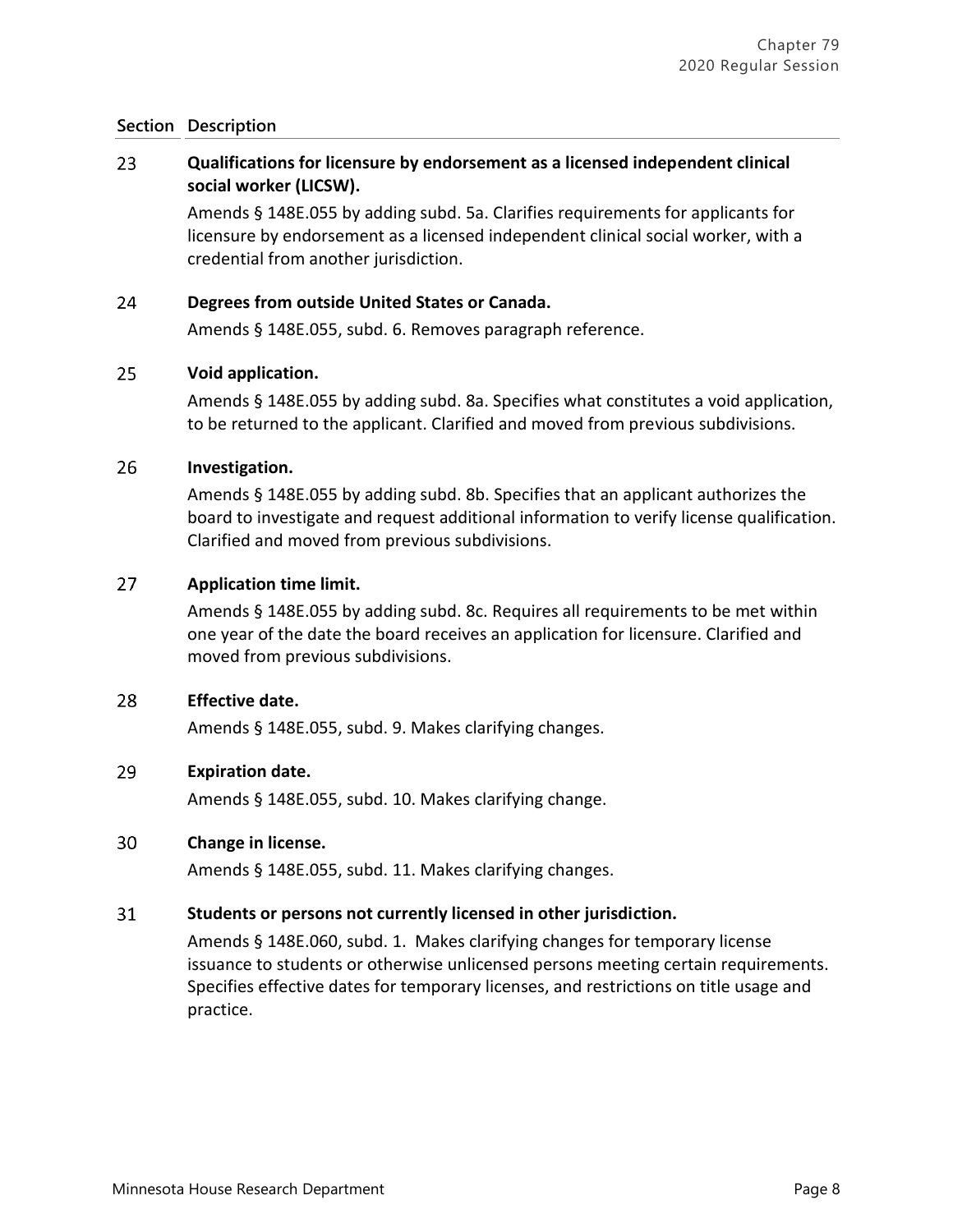### 23 **Qualifications for licensure by endorsement as a licensed independent clinical social worker (LICSW).**

Amends § 148E.055 by adding subd. 5a. Clarifies requirements for applicants for licensure by endorsement as a licensed independent clinical social worker, with a credential from another jurisdiction.

#### 24 **Degrees from outside United States or Canada.**

Amends § 148E.055, subd. 6. Removes paragraph reference.

#### 25 **Void application.**

Amends § 148E.055 by adding subd. 8a. Specifies what constitutes a void application, to be returned to the applicant. Clarified and moved from previous subdivisions.

#### 26 **Investigation.**

Amends § 148E.055 by adding subd. 8b. Specifies that an applicant authorizes the board to investigate and request additional information to verify license qualification. Clarified and moved from previous subdivisions.

#### 27 **Application time limit.**

Amends § 148E.055 by adding subd. 8c. Requires all requirements to be met within one year of the date the board receives an application for licensure. Clarified and moved from previous subdivisions.

#### 28 **Effective date.**

Amends § 148E.055, subd. 9. Makes clarifying changes.

#### 29 **Expiration date.**

Amends § 148E.055, subd. 10. Makes clarifying change.

#### 30 **Change in license.**

Amends § 148E.055, subd. 11. Makes clarifying changes.

#### 31 **Students or persons not currently licensed in other jurisdiction.**

Amends § 148E.060, subd. 1. Makes clarifying changes for temporary license issuance to students or otherwise unlicensed persons meeting certain requirements. Specifies effective dates for temporary licenses, and restrictions on title usage and practice.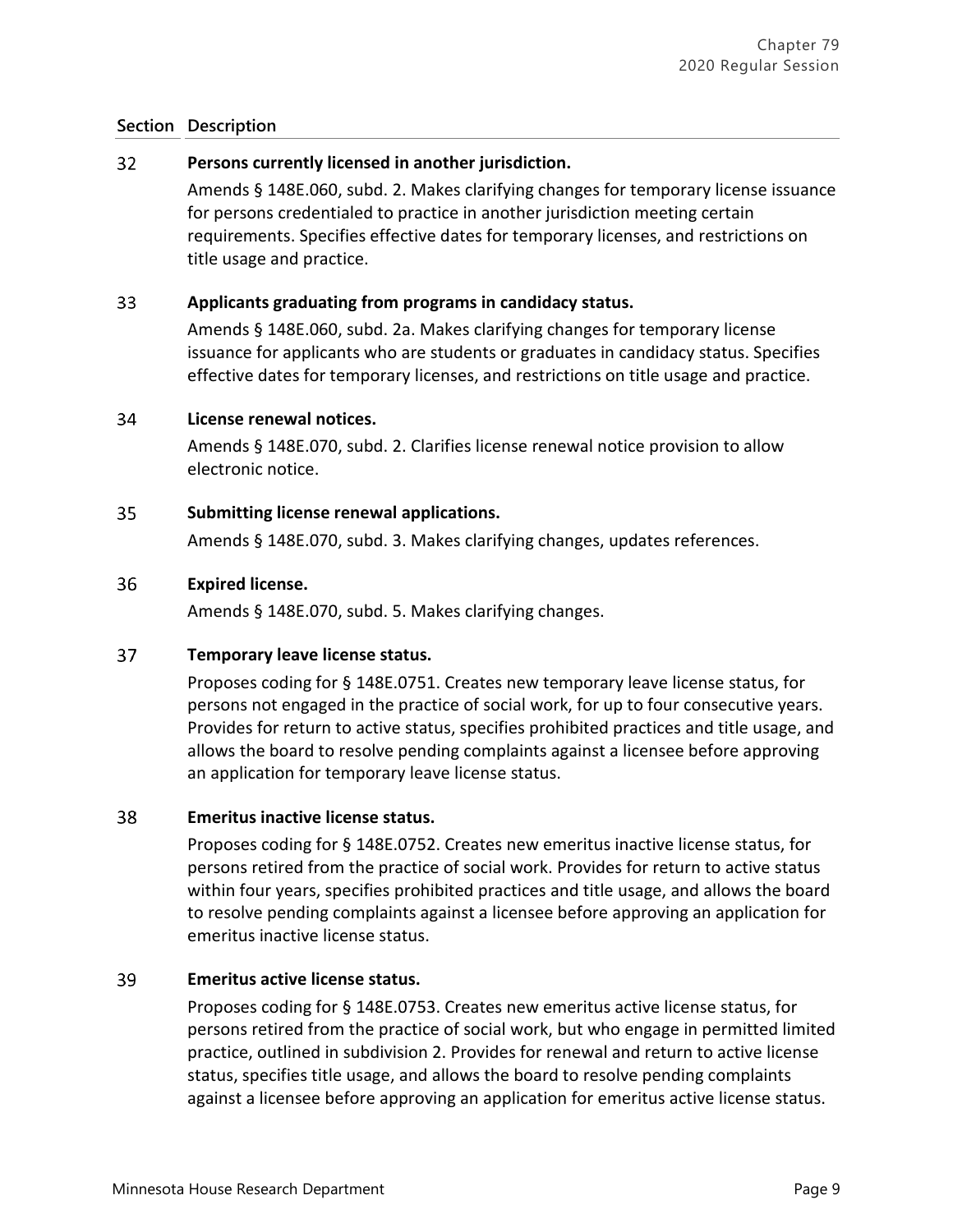#### $32<sup>2</sup>$ **Persons currently licensed in another jurisdiction.**

Amends § 148E.060, subd. 2. Makes clarifying changes for temporary license issuance for persons credentialed to practice in another jurisdiction meeting certain requirements. Specifies effective dates for temporary licenses, and restrictions on title usage and practice.

#### 33 **Applicants graduating from programs in candidacy status.**

Amends § 148E.060, subd. 2a. Makes clarifying changes for temporary license issuance for applicants who are students or graduates in candidacy status. Specifies effective dates for temporary licenses, and restrictions on title usage and practice.

#### 34 **License renewal notices.**

Amends § 148E.070, subd. 2. Clarifies license renewal notice provision to allow electronic notice.

#### 35 **Submitting license renewal applications.**

Amends § 148E.070, subd. 3. Makes clarifying changes, updates references.

#### 36 **Expired license.**

Amends § 148E.070, subd. 5. Makes clarifying changes.

#### 37 **Temporary leave license status.**

Proposes coding for § 148E.0751. Creates new temporary leave license status, for persons not engaged in the practice of social work, for up to four consecutive years. Provides for return to active status, specifies prohibited practices and title usage, and allows the board to resolve pending complaints against a licensee before approving an application for temporary leave license status.

#### 38 **Emeritus inactive license status.**

Proposes coding for § 148E.0752. Creates new emeritus inactive license status, for persons retired from the practice of social work. Provides for return to active status within four years, specifies prohibited practices and title usage, and allows the board to resolve pending complaints against a licensee before approving an application for emeritus inactive license status.

#### 39 **Emeritus active license status.**

Proposes coding for § 148E.0753. Creates new emeritus active license status, for persons retired from the practice of social work, but who engage in permitted limited practice, outlined in subdivision 2. Provides for renewal and return to active license status, specifies title usage, and allows the board to resolve pending complaints against a licensee before approving an application for emeritus active license status.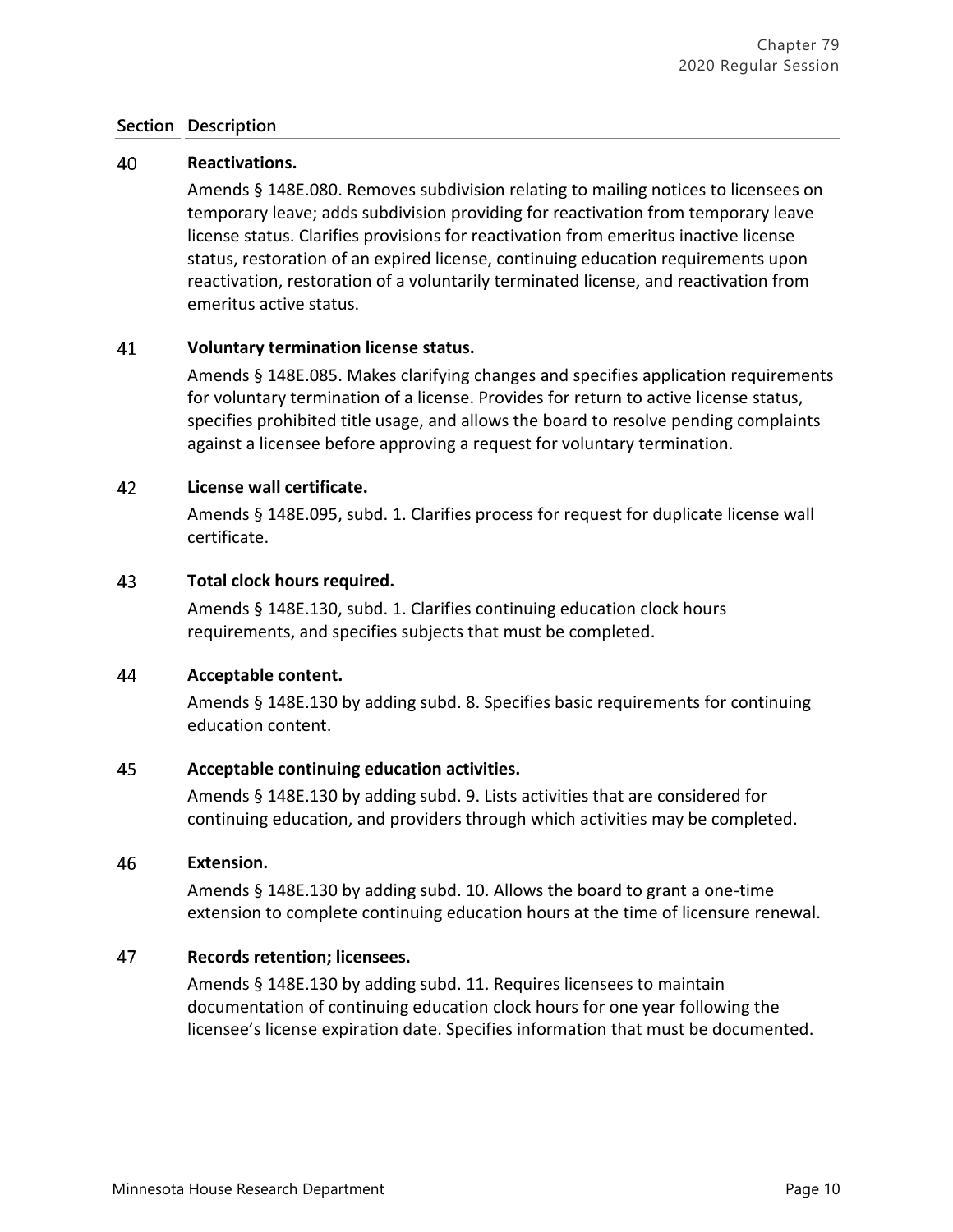#### 40 **Reactivations.**

Amends § 148E.080. Removes subdivision relating to mailing notices to licensees on temporary leave; adds subdivision providing for reactivation from temporary leave license status. Clarifies provisions for reactivation from emeritus inactive license status, restoration of an expired license, continuing education requirements upon reactivation, restoration of a voluntarily terminated license, and reactivation from emeritus active status.

#### 41 **Voluntary termination license status.**

Amends § 148E.085. Makes clarifying changes and specifies application requirements for voluntary termination of a license. Provides for return to active license status, specifies prohibited title usage, and allows the board to resolve pending complaints against a licensee before approving a request for voluntary termination.

#### 42 **License wall certificate.**

Amends § 148E.095, subd. 1. Clarifies process for request for duplicate license wall certificate.

#### 43 **Total clock hours required.**

Amends § 148E.130, subd. 1. Clarifies continuing education clock hours requirements, and specifies subjects that must be completed.

#### 44 **Acceptable content.**

Amends § 148E.130 by adding subd. 8. Specifies basic requirements for continuing education content.

#### 45 **Acceptable continuing education activities.**

Amends § 148E.130 by adding subd. 9. Lists activities that are considered for continuing education, and providers through which activities may be completed.

#### 46 **Extension.**

Amends § 148E.130 by adding subd. 10. Allows the board to grant a one-time extension to complete continuing education hours at the time of licensure renewal.

#### 47 **Records retention; licensees.**

Amends § 148E.130 by adding subd. 11. Requires licensees to maintain documentation of continuing education clock hours for one year following the licensee's license expiration date. Specifies information that must be documented.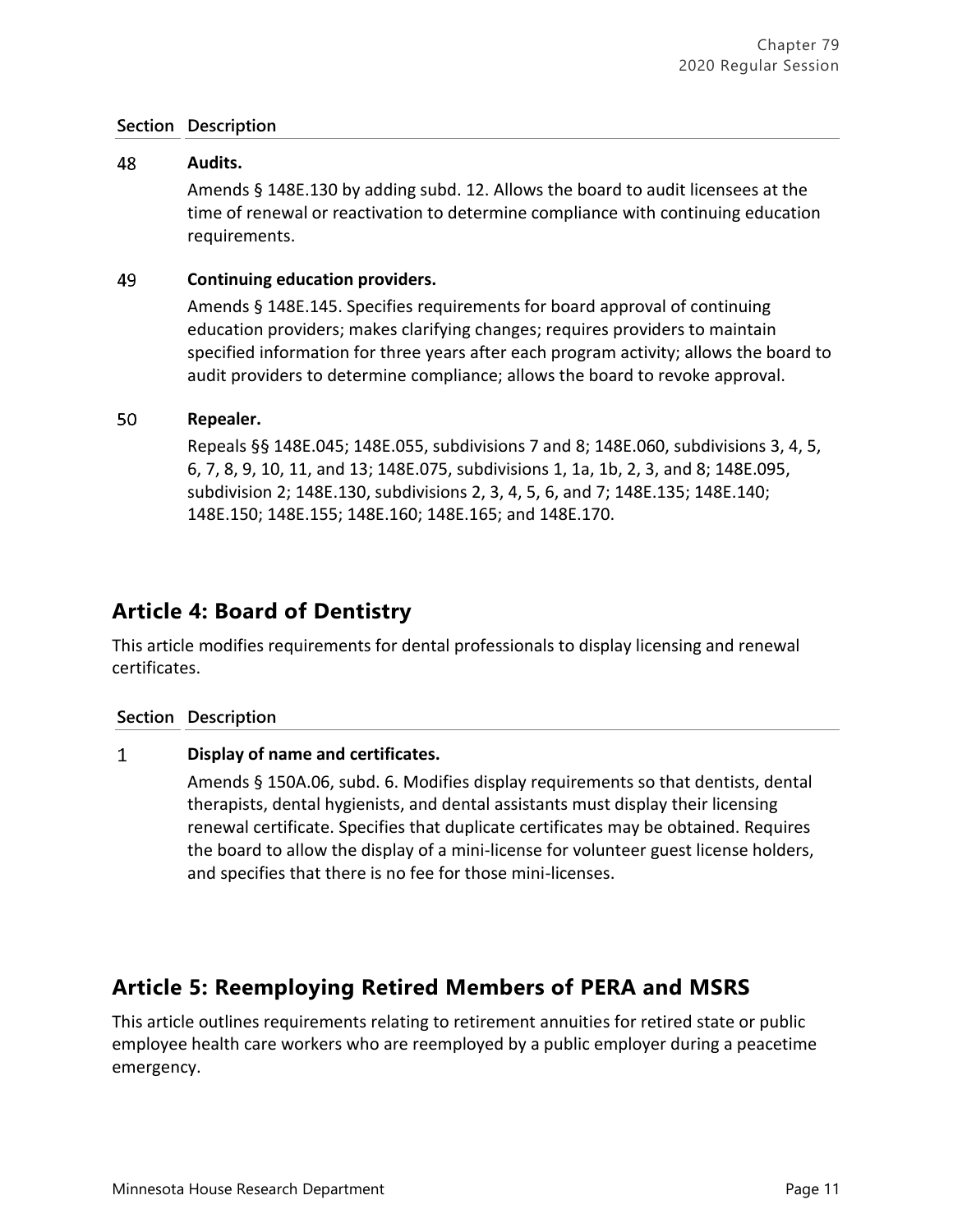#### 48 **Audits.**

Amends § 148E.130 by adding subd. 12. Allows the board to audit licensees at the time of renewal or reactivation to determine compliance with continuing education requirements.

#### 49 **Continuing education providers.**

Amends § 148E.145. Specifies requirements for board approval of continuing education providers; makes clarifying changes; requires providers to maintain specified information for three years after each program activity; allows the board to audit providers to determine compliance; allows the board to revoke approval.

#### 50 **Repealer.**

Repeals §§ 148E.045; 148E.055, subdivisions 7 and 8; 148E.060, subdivisions 3, 4, 5, 6, 7, 8, 9, 10, 11, and 13; 148E.075, subdivisions 1, 1a, 1b, 2, 3, and 8; 148E.095, subdivision 2; 148E.130, subdivisions 2, 3, 4, 5, 6, and 7; 148E.135; 148E.140; 148E.150; 148E.155; 148E.160; 148E.165; and 148E.170.

# **Article 4: Board of Dentistry**

This article modifies requirements for dental professionals to display licensing and renewal certificates.

## **Section Description**

#### $\mathbf{1}$ **Display of name and certificates.**

Amends § 150A.06, subd. 6. Modifies display requirements so that dentists, dental therapists, dental hygienists, and dental assistants must display their licensing renewal certificate. Specifies that duplicate certificates may be obtained. Requires the board to allow the display of a mini-license for volunteer guest license holders, and specifies that there is no fee for those mini-licenses.

# **Article 5: Reemploying Retired Members of PERA and MSRS**

This article outlines requirements relating to retirement annuities for retired state or public employee health care workers who are reemployed by a public employer during a peacetime emergency.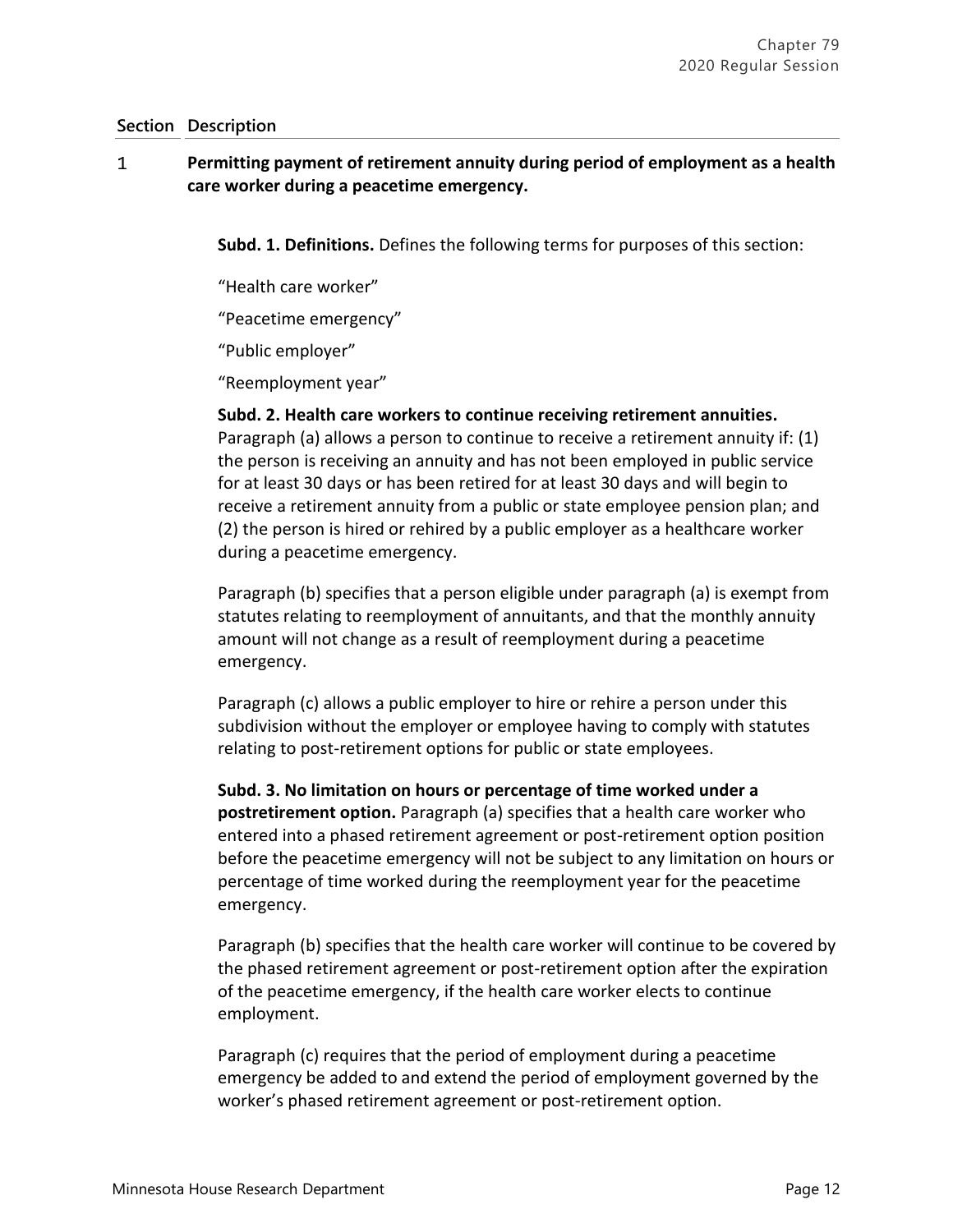### $\mathbf{1}$ **Permitting payment of retirement annuity during period of employment as a health care worker during a peacetime emergency.**

**Subd. 1. Definitions.** Defines the following terms for purposes of this section:

"Health care worker"

"Peacetime emergency"

"Public employer"

"Reemployment year"

**Subd. 2. Health care workers to continue receiving retirement annuities.** Paragraph (a) allows a person to continue to receive a retirement annuity if: (1) the person is receiving an annuity and has not been employed in public service for at least 30 days or has been retired for at least 30 days and will begin to receive a retirement annuity from a public or state employee pension plan; and (2) the person is hired or rehired by a public employer as a healthcare worker during a peacetime emergency.

Paragraph (b) specifies that a person eligible under paragraph (a) is exempt from statutes relating to reemployment of annuitants, and that the monthly annuity amount will not change as a result of reemployment during a peacetime emergency.

Paragraph (c) allows a public employer to hire or rehire a person under this subdivision without the employer or employee having to comply with statutes relating to post-retirement options for public or state employees.

**Subd. 3. No limitation on hours or percentage of time worked under a postretirement option.** Paragraph (a) specifies that a health care worker who entered into a phased retirement agreement or post-retirement option position before the peacetime emergency will not be subject to any limitation on hours or percentage of time worked during the reemployment year for the peacetime emergency.

Paragraph (b) specifies that the health care worker will continue to be covered by the phased retirement agreement or post-retirement option after the expiration of the peacetime emergency, if the health care worker elects to continue employment.

Paragraph (c) requires that the period of employment during a peacetime emergency be added to and extend the period of employment governed by the worker's phased retirement agreement or post-retirement option.